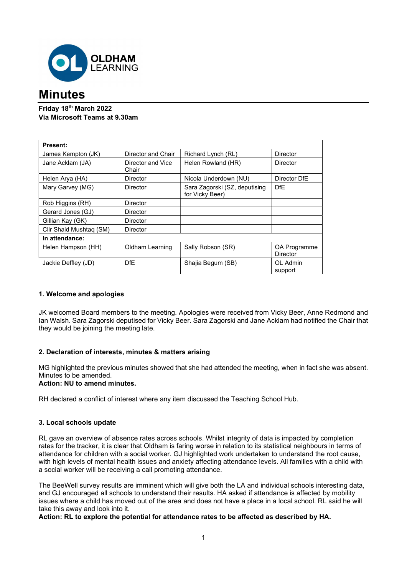

# **Minutes**

## Friday 18th March 2022 Via Microsoft Teams at 9.30am

| <b>Present:</b>         |                            |                                                  |                          |
|-------------------------|----------------------------|--------------------------------------------------|--------------------------|
| James Kempton (JK)      | Director and Chair         | Richard Lynch (RL)                               | <b>Director</b>          |
| Jane Acklam (JA)        | Director and Vice<br>Chair | Helen Rowland (HR)                               | Director                 |
| Helen Arya (HA)         | <b>Director</b>            | Nicola Underdown (NU)                            | Director DfE             |
| Mary Garvey (MG)        | Director                   | Sara Zagorski (SZ, deputising<br>for Vicky Beer) | <b>DfE</b>               |
| Rob Higgins (RH)        | <b>Director</b>            |                                                  |                          |
| Gerard Jones (GJ)       | <b>Director</b>            |                                                  |                          |
| Gillian Kay (GK)        | <b>Director</b>            |                                                  |                          |
| Cllr Shaid Mushtag (SM) | <b>Director</b>            |                                                  |                          |
| In attendance:          |                            |                                                  |                          |
| Helen Hampson (HH)      | Oldham Learning            | Sally Robson (SR)                                | OA Programme<br>Director |
| Jackie Deffley (JD)     | <b>DfE</b>                 | Shajia Begum (SB)                                | OL Admin<br>support      |

## 1. Welcome and apologies

JK welcomed Board members to the meeting. Apologies were received from Vicky Beer, Anne Redmond and Ian Walsh. Sara Zagorski deputised for Vicky Beer. Sara Zagorski and Jane Acklam had notified the Chair that they would be joining the meeting late.

## 2. Declaration of interests, minutes & matters arising

MG highlighted the previous minutes showed that she had attended the meeting, when in fact she was absent. Minutes to be amended.

### Action: NU to amend minutes.

RH declared a conflict of interest where any item discussed the Teaching School Hub.

#### 3. Local schools update

RL gave an overview of absence rates across schools. Whilst integrity of data is impacted by completion rates for the tracker, it is clear that Oldham is faring worse in relation to its statistical neighbours in terms of attendance for children with a social worker. GJ highlighted work undertaken to understand the root cause, with high levels of mental health issues and anxiety affecting attendance levels. All families with a child with a social worker will be receiving a call promoting attendance.

The BeeWell survey results are imminent which will give both the LA and individual schools interesting data, and GJ encouraged all schools to understand their results. HA asked if attendance is affected by mobility issues where a child has moved out of the area and does not have a place in a local school. RL said he will take this away and look into it.

#### Action: RL to explore the potential for attendance rates to be affected as described by HA.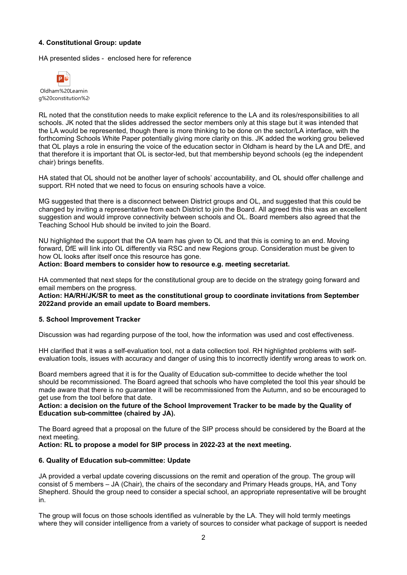#### 4. Constitutional Group: update

HA presented slides - enclosed here for reference



Oldham%20Learnin g%20constitution%2

RL noted that the constitution needs to make explicit reference to the LA and its roles/responsibilities to all schools. JK noted that the slides addressed the sector members only at this stage but it was intended that the LA would be represented, though there is more thinking to be done on the sector/LA interface, with the forthcoming Schools White Paper potentially giving more clarity on this. JK added the working grou believed that OL plays a role in ensuring the voice of the education sector in Oldham is heard by the LA and DfE, and that therefore it is important that OL is sector-led, but that membership beyond schools (eg the independent chair) brings benefits.

HA stated that OL should not be another layer of schools' accountability, and OL should offer challenge and support. RH noted that we need to focus on ensuring schools have a voice.

MG suggested that there is a disconnect between District groups and OL, and suggested that this could be changed by inviting a representative from each District to join the Board. All agreed this this was an excellent suggestion and would improve connectivity between schools and OL. Board members also agreed that the Teaching School Hub should be invited to join the Board.

NU highlighted the support that the OA team has given to OL and that this is coming to an end. Moving forward, DfE will link into OL differently via RSC and new Regions group. Consideration must be given to how OL looks after itself once this resource has gone.

Action: Board members to consider how to resource e.g. meeting secretariat.

HA commented that next steps for the constitutional group are to decide on the strategy going forward and email members on the progress.

Action: HA/RH/JK/SR to meet as the constitutional group to coordinate invitations from September 2022and provide an email update to Board members.

#### 5. School Improvement Tracker

Discussion was had regarding purpose of the tool, how the information was used and cost effectiveness.

HH clarified that it was a self-evaluation tool, not a data collection tool. RH highlighted problems with selfevaluation tools, issues with accuracy and danger of using this to incorrectly identify wrong areas to work on.

Board members agreed that it is for the Quality of Education sub-committee to decide whether the tool should be recommissioned. The Board agreed that schools who have completed the tool this year should be made aware that there is no guarantee it will be recommissioned from the Autumn, and so be encouraged to get use from the tool before that date.

#### Action: a decision on the future of the School Improvement Tracker to be made by the Quality of Education sub-committee (chaired by JA).

The Board agreed that a proposal on the future of the SIP process should be considered by the Board at the next meeting.

#### Action: RL to propose a model for SIP process in 2022-23 at the next meeting.

#### 6. Quality of Education sub-committee: Update

JA provided a verbal update covering discussions on the remit and operation of the group. The group will consist of 5 members – JA (Chair), the chairs of the secondary and Primary Heads groups, HA, and Tony Shepherd. Should the group need to consider a special school, an appropriate representative will be brought in.

The group will focus on those schools identified as vulnerable by the LA. They will hold termly meetings where they will consider intelligence from a variety of sources to consider what package of support is needed